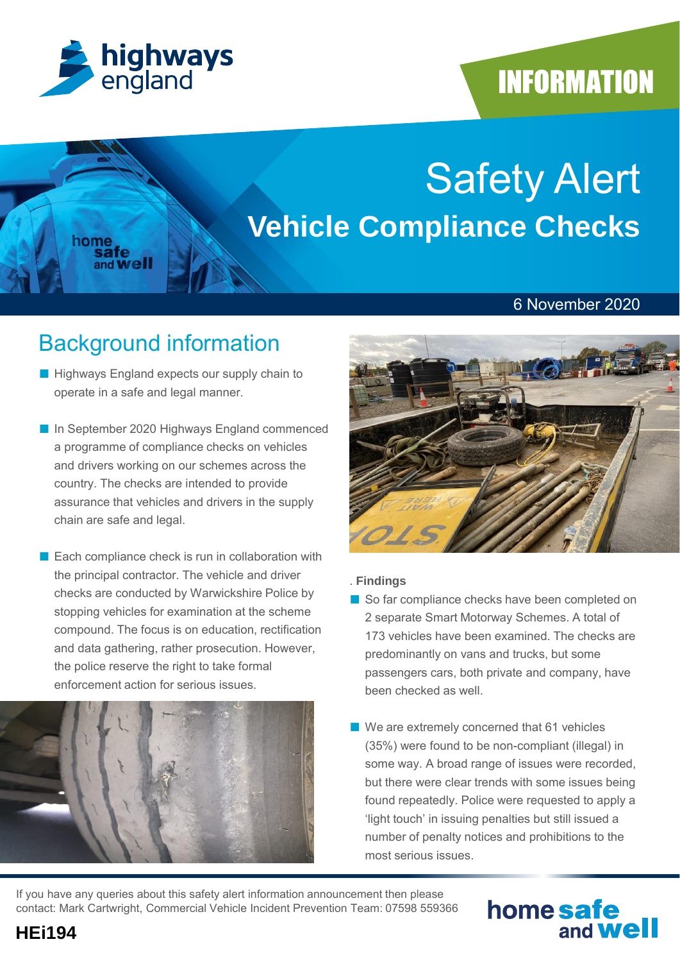

home<br>safe

and **Well** 

## **INFORMATION**

# Safety Alert **Vehicle Compliance Checks**

#### 6 November 2020

## Background information

- Highways England expects our supply chain to operate in a safe and legal manner.
- In September 2020 Highways England commenced a programme of compliance checks on vehicles and drivers working on our schemes across the country. The checks are intended to provide assurance that vehicles and drivers in the supply chain are safe and legal.
- Each compliance check is run in collaboration with the principal contractor. The vehicle and driver checks are conducted by Warwickshire Police by stopping vehicles for examination at the scheme compound. The focus is on education, rectification and data gathering, rather prosecution. However, the police reserve the right to take formal enforcement action for serious issues.





#### . **Findings**

- So far compliance checks have been completed on 2 separate Smart Motorway Schemes. A total of 173 vehicles have been examined. The checks are predominantly on vans and trucks, but some passengers cars, both private and company, have been checked as well.
- We are extremely concerned that 61 vehicles (35%) were found to be non-compliant (illegal) in some way. A broad range of issues were recorded, but there were clear trends with some issues being found repeatedly. Police were requested to apply a 'light touch' in issuing penalties but still issued a number of penalty notices and prohibitions to the most serious issues.

If you have any queries about this safety alert information announcement then please contact: Mark Cartwright, Commercial Vehicle Incident Prevention Team: 07598 559366

### home safe and **Well**

**HEi194**